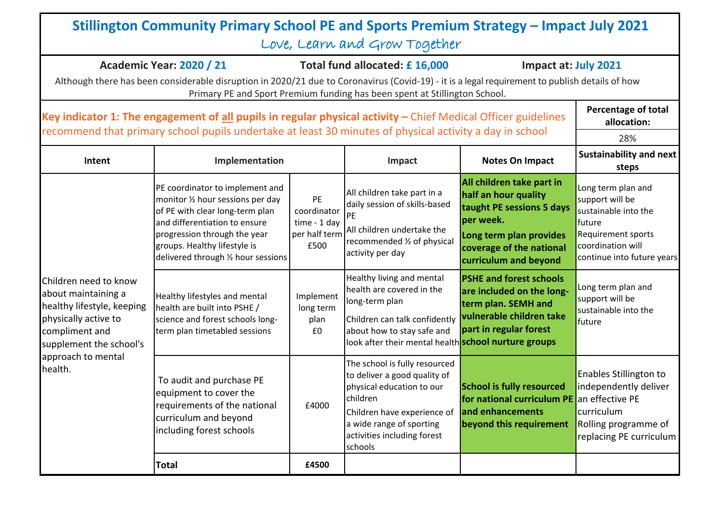|                                                                                                                                                                                  | Stillington Community Primary School PE and Sports Premium Strategy - Impact July 2021                                                                                                                                                                                                                                                                                                |                                                                                                    | Love, Learn and Grow Together                                                                                                                                                                                                                                                                          |                                                                                                                                                                                                                                                                                                                         |                                                                                                                                                                                                                                    |
|----------------------------------------------------------------------------------------------------------------------------------------------------------------------------------|---------------------------------------------------------------------------------------------------------------------------------------------------------------------------------------------------------------------------------------------------------------------------------------------------------------------------------------------------------------------------------------|----------------------------------------------------------------------------------------------------|--------------------------------------------------------------------------------------------------------------------------------------------------------------------------------------------------------------------------------------------------------------------------------------------------------|-------------------------------------------------------------------------------------------------------------------------------------------------------------------------------------------------------------------------------------------------------------------------------------------------------------------------|------------------------------------------------------------------------------------------------------------------------------------------------------------------------------------------------------------------------------------|
|                                                                                                                                                                                  | <b>Academic Year: 2020 / 21</b><br>Although there has been considerable disruption in 2020/21 due to Coronavirus (Covid-19) - it is a legal requirement to publish details of how                                                                                                                                                                                                     |                                                                                                    | Total fund allocated: £16,000<br>Primary PE and Sport Premium funding has been spent at Stillington School.                                                                                                                                                                                            | Impact at: July 2021                                                                                                                                                                                                                                                                                                    |                                                                                                                                                                                                                                    |
|                                                                                                                                                                                  | Key indicator 1: The engagement of all pupils in regular physical activity $-$ Chief Medical Officer guidelines<br>recommend that primary school pupils undertake at least 30 minutes of physical activity a day in school                                                                                                                                                            |                                                                                                    |                                                                                                                                                                                                                                                                                                        |                                                                                                                                                                                                                                                                                                                         | <b>Percentage of total</b><br>allocation:                                                                                                                                                                                          |
| Intent                                                                                                                                                                           | Implementation                                                                                                                                                                                                                                                                                                                                                                        |                                                                                                    | Impact                                                                                                                                                                                                                                                                                                 | <b>Notes On Impact</b>                                                                                                                                                                                                                                                                                                  | 28%<br><b>Sustainability and next</b><br>steps                                                                                                                                                                                     |
| Children need to know<br>about maintaining a<br>healthy lifestyle, keeping<br>physically active to<br>compliment and<br>supplement the school's<br>approach to mental<br>health. | PE coordinator to implement and<br>monitor 1/2 hour sessions per day<br>of PE with clear long-term plan<br>and differentiation to ensure<br>progression through the year<br>groups. Healthy lifestyle is<br>delivered through 1/2 hour sessions<br>Healthy lifestyles and mental<br>health are built into PSHE /<br>science and forest schools long-<br>term plan timetabled sessions | PE<br>coordinator<br>time - 1 day<br>per half term<br>£500<br>Implement<br>long term<br>plan<br>£0 | All children take part in a<br>daily session of skills-based<br><b>IPE</b><br>All children undertake the<br>recommended 1/2 of physical<br>activity per day<br>Healthy living and mental<br>health are covered in the<br>long-term plan<br>Children can talk confidently<br>about how to stay safe and | All children take part in<br>half an hour quality<br>taught PE sessions 5 days<br>per week.<br>Long term plan provides<br>coverage of the national<br>curriculum and beyond<br><b>PSHE and forest schools</b><br>are included on the long-<br>term plan. SEMH and<br>vulnerable children take<br>part in regular forest | Long term plan and<br>support will be<br>sustainable into the<br>future<br><b>Requirement sports</b><br>coordination will<br>continue into future years<br>Long term plan and<br>support will be<br>sustainable into the<br>future |
|                                                                                                                                                                                  | To audit and purchase PE<br>equipment to cover the<br>requirements of the national<br>curriculum and beyond<br>including forest schools                                                                                                                                                                                                                                               | £4000                                                                                              | look after their mental health <b>school nurture groups</b><br>The school is fully resourced<br>to deliver a good quality of<br>physical education to our<br>children<br>Children have experience of<br>a wide range of sporting<br>activities including forest<br>schools                             | <b>School is fully resourced</b><br>for national curriculum PE an effective PE<br>and enhancements<br>beyond this requirement                                                                                                                                                                                           | <b>Enables Stillington to</b><br>independently deliver<br>curriculum<br>Rolling programme of<br>replacing PE curriculum                                                                                                            |
|                                                                                                                                                                                  | <b>Total</b>                                                                                                                                                                                                                                                                                                                                                                          | £4500                                                                                              |                                                                                                                                                                                                                                                                                                        |                                                                                                                                                                                                                                                                                                                         |                                                                                                                                                                                                                                    |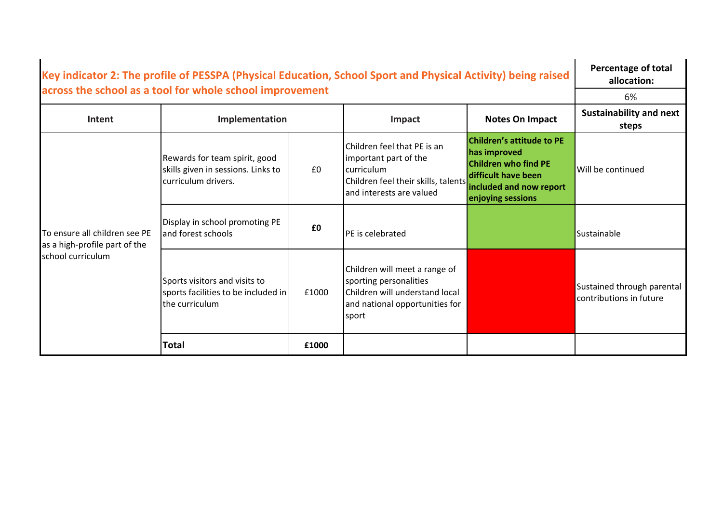| Key indicator 2: The profile of PESSPA (Physical Education, School Sport and Physical Activity) being raised<br>across the school as a tool for whole school improvement |                                                                                             |       |                                                                                                                                       |                                                                                                                                                        | <b>Percentage of total</b><br>allocation:             |
|--------------------------------------------------------------------------------------------------------------------------------------------------------------------------|---------------------------------------------------------------------------------------------|-------|---------------------------------------------------------------------------------------------------------------------------------------|--------------------------------------------------------------------------------------------------------------------------------------------------------|-------------------------------------------------------|
|                                                                                                                                                                          |                                                                                             |       |                                                                                                                                       |                                                                                                                                                        | 6%                                                    |
| Intent                                                                                                                                                                   | Implementation                                                                              |       | Impact                                                                                                                                | <b>Notes On Impact</b>                                                                                                                                 | <b>Sustainability and next</b><br>steps               |
| To ensure all children see PE<br>as a high-profile part of the<br>school curriculum                                                                                      | Rewards for team spirit, good<br>skills given in sessions. Links to<br>Icurriculum drivers. | £0    | Children feel that PE is an<br>important part of the<br>curriculum<br>Children feel their skills, talents<br>and interests are valued | <b>Children's attitude to PE</b><br>has improved<br><b>Children who find PE</b><br>difficult have been<br>included and now report<br>enjoying sessions | Will be continued                                     |
|                                                                                                                                                                          | Display in school promoting PE<br>and forest schools                                        | £0    | PE is celebrated                                                                                                                      |                                                                                                                                                        | Sustainable                                           |
|                                                                                                                                                                          | Sports visitors and visits to<br>sports facilities to be included in<br>the curriculum      | £1000 | Children will meet a range of<br>sporting personalities<br>Children will understand local<br>and national opportunities for<br>sport  |                                                                                                                                                        | Sustained through parental<br>contributions in future |
|                                                                                                                                                                          | Total                                                                                       | £1000 |                                                                                                                                       |                                                                                                                                                        |                                                       |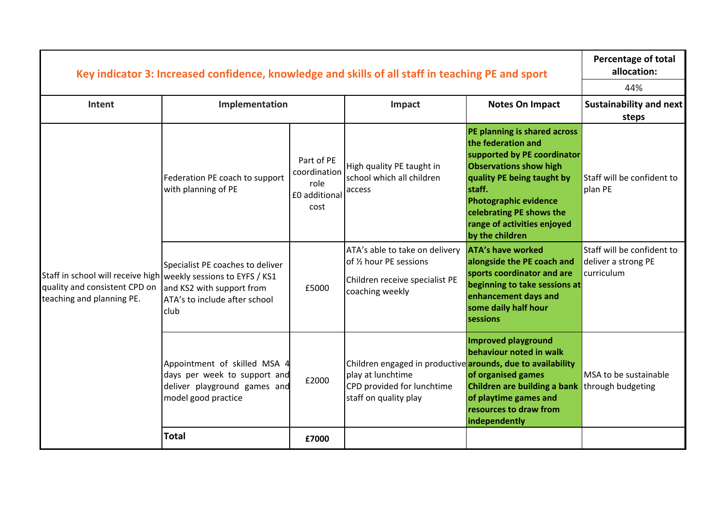|                                                                                                                                 | Key indicator 3: Increased confidence, knowledge and skills of all staff in teaching PE and sport                   |                                                             |                                                                                                                                         |                                                                                                                                                                                                                                                                          | <b>Percentage of total</b><br>allocation:<br>44%                |
|---------------------------------------------------------------------------------------------------------------------------------|---------------------------------------------------------------------------------------------------------------------|-------------------------------------------------------------|-----------------------------------------------------------------------------------------------------------------------------------------|--------------------------------------------------------------------------------------------------------------------------------------------------------------------------------------------------------------------------------------------------------------------------|-----------------------------------------------------------------|
| Intent                                                                                                                          | Implementation                                                                                                      |                                                             | Impact                                                                                                                                  | <b>Notes On Impact</b>                                                                                                                                                                                                                                                   | <b>Sustainability and next</b><br>steps                         |
| Staff in school will receive high   weekly sessions to EYFS / KS1<br>quality and consistent CPD on<br>teaching and planning PE. | Federation PE coach to support<br>with planning of PE                                                               | Part of PE<br>coordination<br>role<br>£0 additional<br>cost | High quality PE taught in<br>school which all children<br>access                                                                        | PE planning is shared across<br>the federation and<br>supported by PE coordinator<br><b>Observations show high</b><br>quality PE being taught by<br>staff.<br><b>Photographic evidence</b><br>celebrating PE shows the<br>range of activities enjoyed<br>by the children | Staff will be confident to<br>plan PE                           |
|                                                                                                                                 | Specialist PE coaches to deliver<br>and KS2 with support from<br>ATA's to include after school<br>club              | £5000                                                       | ATA's able to take on delivery<br>of 1/2 hour PE sessions<br>Children receive specialist PE<br>coaching weekly                          | <b>ATA's have worked</b><br>alongside the PE coach and<br>sports coordinator and are<br>beginning to take sessions at<br>enhancement days and<br>some daily half hour<br>sessions                                                                                        | Staff will be confident to<br>deliver a strong PE<br>curriculum |
|                                                                                                                                 | Appointment of skilled MSA 4<br>days per week to support and<br>deliver playground games and<br>model good practice | £2000                                                       | Children engaged in productive arounds, due to availability<br>play at lunchtime<br>CPD provided for lunchtime<br>staff on quality play | Improved playground<br>behaviour noted in walk<br>of organised games<br>Children are building a bank<br>of playtime games and<br>resources to draw from<br>independently                                                                                                 | MSA to be sustainable<br>through budgeting                      |
|                                                                                                                                 | <b>Total</b>                                                                                                        | £7000                                                       |                                                                                                                                         |                                                                                                                                                                                                                                                                          |                                                                 |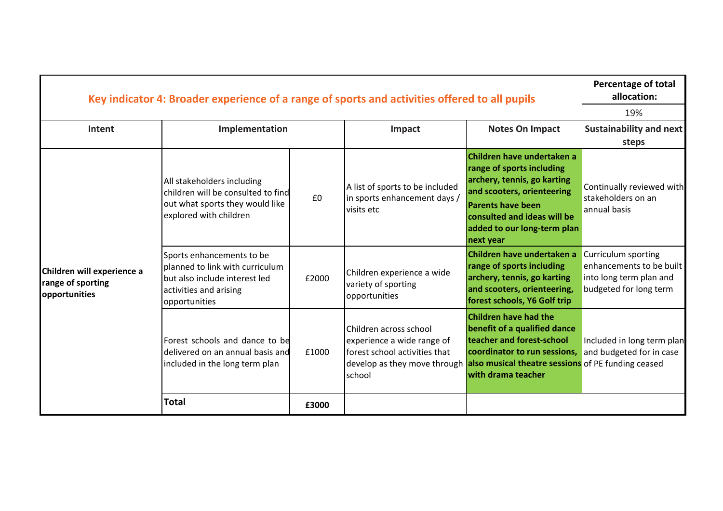|                                                                  | Key indicator 4: Broader experience of a range of sports and activities offered to all pupils                                            |       |                                                                                                                                 |                                                                                                                                                                                                                             | <b>Percentage of total</b><br>allocation:                                                            |
|------------------------------------------------------------------|------------------------------------------------------------------------------------------------------------------------------------------|-------|---------------------------------------------------------------------------------------------------------------------------------|-----------------------------------------------------------------------------------------------------------------------------------------------------------------------------------------------------------------------------|------------------------------------------------------------------------------------------------------|
|                                                                  |                                                                                                                                          |       |                                                                                                                                 |                                                                                                                                                                                                                             | 19%                                                                                                  |
| Intent                                                           | Implementation                                                                                                                           |       | Impact                                                                                                                          | <b>Notes On Impact</b>                                                                                                                                                                                                      | Sustainability and next<br>steps                                                                     |
| Children will experience a<br>range of sporting<br>opportunities | All stakeholders including<br>children will be consulted to find<br>out what sports they would like<br>explored with children            | £0    | A list of sports to be included<br>in sports enhancement days /<br>visits etc                                                   | Children have undertaken a<br>range of sports including<br>archery, tennis, go karting<br>and scooters, orienteering<br><b>Parents have been</b><br>consulted and ideas will be<br>added to our long-term plan<br>next year | Continually reviewed with<br>stakeholders on an<br>annual basis                                      |
|                                                                  | Sports enhancements to be<br>planned to link with curriculum<br>but also include interest led<br>activities and arising<br>opportunities | £2000 | Children experience a wide<br>variety of sporting<br>opportunities                                                              | Children have undertaken a<br>range of sports including<br>archery, tennis, go karting<br>and scooters, orienteering,<br>forest schools, Y6 Golf trip                                                                       | Curriculum sporting<br>enhancements to be built<br>into long term plan and<br>budgeted for long term |
|                                                                  | Forest schools and dance to be<br>delivered on an annual basis and<br>included in the long term plan                                     | £1000 | Children across school<br>experience a wide range of<br>forest school activities that<br>develop as they move through<br>school | <b>Children have had the</b><br>benefit of a qualified dance<br>teacher and forest-school<br>coordinator to run sessions,<br>also musical theatre sessions of PE funding ceased<br>with drama teacher                       | Included in long term plan<br>and budgeted for in case                                               |
|                                                                  | <b>Total</b>                                                                                                                             | £3000 |                                                                                                                                 |                                                                                                                                                                                                                             |                                                                                                      |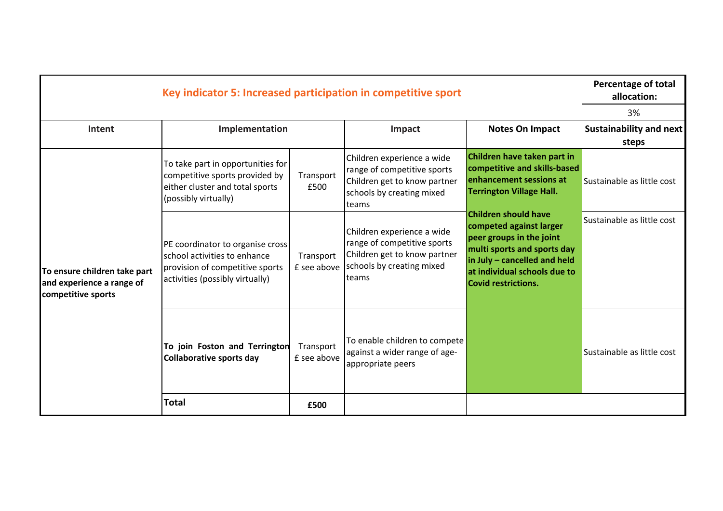| Key indicator 5: Increased participation in competitive sport                   |                                                                                                                                        |                          |                                                                                                                                 |                                                                                                                                                                                                                                                                                                                                              | <b>Percentage of total</b><br>allocation: |
|---------------------------------------------------------------------------------|----------------------------------------------------------------------------------------------------------------------------------------|--------------------------|---------------------------------------------------------------------------------------------------------------------------------|----------------------------------------------------------------------------------------------------------------------------------------------------------------------------------------------------------------------------------------------------------------------------------------------------------------------------------------------|-------------------------------------------|
|                                                                                 |                                                                                                                                        |                          |                                                                                                                                 |                                                                                                                                                                                                                                                                                                                                              | 3%                                        |
| Intent                                                                          | Implementation                                                                                                                         |                          | Impact                                                                                                                          | <b>Notes On Impact</b>                                                                                                                                                                                                                                                                                                                       | <b>Sustainability and next</b><br>steps   |
| To ensure children take part<br>and experience a range of<br>competitive sports | To take part in opportunities for<br>competitive sports provided by<br>either cluster and total sports<br>(possibly virtually)         | Transport<br>£500        | Children experience a wide<br>range of competitive sports<br>Children get to know partner<br>schools by creating mixed<br>teams | Children have taken part in<br>competitive and skills-based<br>enhancement sessions at<br><b>Terrington Village Hall.</b><br><b>Children should have</b><br>competed against larger<br>peer groups in the joint<br>multi sports and sports day<br>in July - cancelled and held<br>at individual schools due to<br><b>Covid restrictions.</b> | Sustainable as little cost                |
|                                                                                 | PE coordinator to organise cross<br>school activities to enhance<br>provision of competitive sports<br>activities (possibly virtually) | Transport<br>£ see above | Children experience a wide<br>range of competitive sports<br>Children get to know partner<br>schools by creating mixed<br>teams |                                                                                                                                                                                                                                                                                                                                              | Sustainable as little cost                |
|                                                                                 | To join Foston and Terrington<br><b>Collaborative sports day</b>                                                                       | Transport<br>£ see above | To enable children to compete<br>against a wider range of age-<br>appropriate peers                                             |                                                                                                                                                                                                                                                                                                                                              | Sustainable as little cost                |
|                                                                                 | <b>Total</b>                                                                                                                           | £500                     |                                                                                                                                 |                                                                                                                                                                                                                                                                                                                                              |                                           |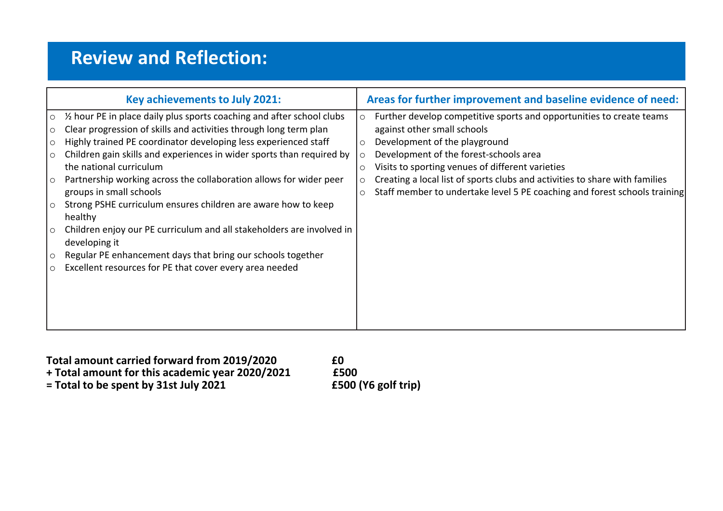## **Review and Reflection:**

| Key achievements to July 2021:                                                                                                                                                                                                                                                                                                                                                                                                                                                                                                                                                                                                                                                                                                                                                                                         | Areas for further improvement and baseline evidence of need:                                                                                                                                                                                                                                                                                                                                                              |
|------------------------------------------------------------------------------------------------------------------------------------------------------------------------------------------------------------------------------------------------------------------------------------------------------------------------------------------------------------------------------------------------------------------------------------------------------------------------------------------------------------------------------------------------------------------------------------------------------------------------------------------------------------------------------------------------------------------------------------------------------------------------------------------------------------------------|---------------------------------------------------------------------------------------------------------------------------------------------------------------------------------------------------------------------------------------------------------------------------------------------------------------------------------------------------------------------------------------------------------------------------|
| 1/2 hour PE in place daily plus sports coaching and after school clubs<br>$\circ$<br>Clear progression of skills and activities through long term plan<br>$\circ$<br>Highly trained PE coordinator developing less experienced staff<br>$\circ$<br>Children gain skills and experiences in wider sports than required by<br>$\circ$<br>the national curriculum<br>Partnership working across the collaboration allows for wider peer<br>$\circ$<br>groups in small schools<br>Strong PSHE curriculum ensures children are aware how to keep<br>$\circ$<br>healthy<br>Children enjoy our PE curriculum and all stakeholders are involved in<br>$\circ$<br>developing it<br>Regular PE enhancement days that bring our schools together<br>$\circ$<br>Excellent resources for PE that cover every area needed<br>$\circ$ | Further develop competitive sports and opportunities to create teams<br>O<br>against other small schools<br>Development of the playground<br>Development of the forest-schools area<br>Visits to sporting venues of different varieties<br>$\circ$<br>Creating a local list of sports clubs and activities to share with families<br>Staff member to undertake level 5 PE coaching and forest schools training<br>$\circ$ |

**Total amount carried forward from 2019/2020 100 E0**<br> **there f Fotal** amount for this academic year 2020/2021 **1500 + Total amount for this academic year 2020/2021 £500**

 $=$  **Total to be spent by 31st July 2021**